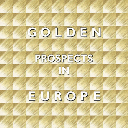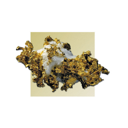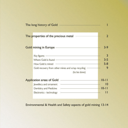| The long history of Gold                                                                                                                                                                                                                                                    |                      |
|-----------------------------------------------------------------------------------------------------------------------------------------------------------------------------------------------------------------------------------------------------------------------------|----------------------|
| The properties of the precious metal                                                                                                                                                                                                                                        | 2                    |
| Gold mining in Europe                                                                                                                                                                                                                                                       | $3-9$                |
| the control of the control of the control of the control of<br>Key figures<br>Where Gold is found - Manual Manual Manual Manual Manual Manual Manual Manual Manual Manual Manual Manual Manual<br>How Gold is mined<br>Gold recovery from other mines and scrap recycling - | 3<br>3-5<br>5-8<br>9 |
| (to be done)<br>Application areas of Gold ——————————                                                                                                                                                                                                                        | $10 - 11$            |
| product the contract of the contract of the<br>Jewellery and ornament<br>the contract of the contract of the contract of the<br>Dentistry and Medicine<br>Electronics - technology                                                                                          | 10<br>$10 - 11$<br>П |

Environmental & Health and Safety aspects of gold mining 13-14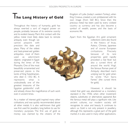## T **The Long History of Gold he Long History of Gold**

Throughout the history of humanity, gold has always exerted a sort of magical power on people, probably because of its extreme scarcity and its evident beauty. Man's first contact with the yellow metal most likely dates back to remote

antiquity, even though we cannot pinpoint with precision the date and place. Many of the oldest and best-preserved golden antiquities- most of them used as adornment objects- originated in Egypt during the times of the Pharaohs. One of the most beautifully ornamented and preserved pieces is the tomb of King Tutankhamen, who died in 1352 BC. It represents what is undoubtedly one of the greatest treasures of the Egyptian goldsmiths' craft



1

Kingdom of Lydia (today's western Turkey), when King Croesus, created a coin emblazoned with his own image (from 560 BC). Since then the precious metal has been used by every civilized country as currency and has also become a symbol of wealth, power, and the basis of economic life.

Apart from the Egyptian Art, gold ornament

collections were also found in the history of Incas, Aztecs, Chinese, Japanese and of course European civilizations. Precisely because of its rare properties gold rapidly provoked a real fever but also a cursed thirst all around the world. Virgil, the famous Roman poet of Antiquity described man's undying lust for gold when he wrote "Auri Sacra Fames" (the cursed thirst for gold).

and already shows the magnificence of such work even in ancient times.

As a matter of interest gold inspired many other civilisations, and was quickly recommended above all other metals. It is also well-known that gold was first used for jewellery long before its use for monetary purposes. The first use of gold as money was claimed by the citizens of the

However, it should be noted that gold was abandoned as a monetary standard in the 1930s when other investment objects, substitutes or alternatives appeared. But the famous metal still plays a significant role. Like ancient cultures, our modern society still recognizes its value and beauty. It continues to adorn us. Gold is not only present in jewellery, although this represents a great part of the gold market, it is also used in many other applications.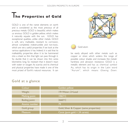## T**he Properties of Gold**

GOLD is one of the rarest elements on earth and is considered as the most precious of all precious metals. GOLD is beautiful, which makes us envious. GOLD is golden-yellow, which makes it naturally equate with the sun. GOLD has exceptional qualities, unlike other metals. GOLD is soft, very malleable, resistant to corrosion, almost completely indestructible and non-toxic, which are very useful properties if we look at the various applications it has. Indeed, it is said that its malleability properties allow it to be hammered into a sheet so thin that light can pass through it. So ductile that it can be drawn into thin wires kilometres long. So resistant that it doesn't react with water or oxygen. Its scarcity and its chemical and physical properties have made it one of the most prized of Earth's natural resources. It can





Gold atom

be easily alloyed with other metals such as copper or silver, which widens the range of possible colour shades and increases the metals' hardness and abrasion resistance. GOLD is a metallic element and has as chemical symbol Au, which has its origin in the Latin word "Aurum", which means *Glowing Down.*

| Colour               | Golden-yellow                           |
|----------------------|-----------------------------------------|
| Weight               | 19>Water; 2>Lead                        |
| <b>Melting point</b> | $1063$ °C                               |
| <b>Boiling point</b> | $2660^{\circ}$ C                        |
| Atomic number        | 79                                      |
| Gold group           | Gold, Silver & Copper (same properties) |
| <b>Measure</b>       | Carat (pure $\gcd$ d = 24 carats)       |

### Gold at a glance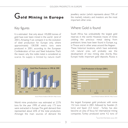# G**old Mining in Europe**

### Key figures

It is estimated that only about 145,000 tonnes of gold have ever been mined in the world (end of 2001). Amazing if we compare it to the evolution of steel production for Europe only, where approximately 158.508 metric tons were produced in 2001, according to the European Confederation of Iron and Steel Industries. That's the reason why the noble metal is considered so scarce. Its supply is limited by nature itself.



World mine production was estimated at 2,576 tons for the year 1999, of which only 173 tons were extracted in Europe. The gold demand then represented about 65% of the total production. Amongst the main sources of demand the jewellery sector (which represents about 75% of the market), industry and investors are the most important other ones.

### Where Gold is found

South Africa has undoubtedly the largest gold reserves in the world. However, traces of mines yielding the precious metal dating from prehistoric times have been found in Europe, e.g. in Thrace and in other areas around the Aegean. These historical locations, which have extremely rich natural ores, will probably see the development of new mining sites shortly. Also Europe holds important gold deposits. Russia is



Source: Minerals Handbook 2000-2001, Phillip Crowson Source: Minerals Handbook 2000-2001, Phillip Crowson

the largest European gold producer, with some 152 tons mined in 2001, followed by Sweden (5 tons) and Spain  $(3.3 \text{ tons})^+$  . Turkey has also become an area of focus for international mining companies. Turkey produced some 4.2 tons of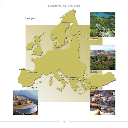#### **GOLDEN PROSPECTS IN EUROPE**

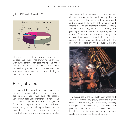gold in 2002 and 1.7 tons in 2001.



Source: Minerals Handbook 2000-2001, Phillip Crowson

The northern part of Europe, in particular Sweden and Finland, has shown to be an area with large potential for gold mining. The major mining companies in the world are actively involved in gold exploration in these countries, and new mines are near commissioning in Sweden and Finland.

#### How gold is mined

As soon as it has been decided to explore a site for potential mining activities, a range of technical actions commence, which take into account various regulations, requirements and standards. If sufficiently high grades and amounts of gold are found in a deposit for it to be considered economically viable, mining activities can be permitted and then developed. Ore can be mined from both open pits and underground mine sites.

Four steps will be necessary to mine the ore: drilling, blasting, loading and hauling. Today's operations are highly mechanized and automated and are based on large, efficient, low-energy and reliable machine and transport systems. Generally, the first processing steps are crushing and grinding. Subsequent steps are depending on the nature of the ore. In many cases, the gold is associated to a copper mineral, which means the recovery takes place simultaneously with the recovery of copper, and the production of pure



gold takes place at the smelter. In many cases, gold can be recovered using gravity processes such as shaking tables. In the global perspective, however, most gold is recovered using cyanidation. Such processes have been used for more than one hundred years to improve the processing results and to eliminate the need for mercury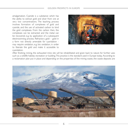amalgamation. Cyanide is a substance which has the ability to extract gold and silver from ore at very low concentrations. The leaching process involves formation of complexes of gold and cyanide, and the use of activated carbon to bind the gold complexes. From the carbon then, the complexes can be extracted and the metal can be recovered, e.g. by application of a subsequent electrowinning process. Refractory gold – gold in a form not directly amenable for cyanidation may require oxidation, e.g. bio oxidation, in order to liberate the gold and make it accessible to cyanidation.



After finishing mining, the exhausted mine site will be rehabilitated and given back to nature for further uses such as a wildlife habitat, recreation or building. This practice is the standard used in Europe today. According to a reclamation plan put in place and depending on the properties of the mining waste, the waste deposits are

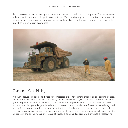decommissioned either by covering with soil or equal material, or by inundation using water. The key parameter is then to avoid exposure of the pyrite content to air. After covering, vegetation is established, or measures to secure the water cover are put in place. The area is then adapted to the most appropriate post mining land use, which may vary from case to case.



## Cyanide in Gold Mining

Although discussions about gold recovery processes are often controversial, cyanide leaching is today considered to be the best available technology for the extraction of gold from ores, and has revolutionized gold mining in many areas of the world. Other chemicals have proven to leach gold and silver but were not successfully applied yet in large scale industrial processes on a worldwide basis. Therefore this industry is still seeking for a more efficient leaching process which fits all of today's needs and requirements specifically also from an environmental perspective. As cyanide is highly toxic it can have a detrimental impact on the environment and on living organisms in case of exposure if not handled properly, it is therefore necessary to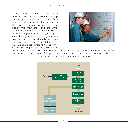identify the risks related to its use and to implement measures and procedures to manage low risk operations. In order to prevent future incidents and improve the Environment and Health & Safety performance of all mines using cyanide throughout the world, the United Nations Environmental Program (UNEP) has developed, together with a large range of stakeholders (gold mining industry, governments, non-governmental organisations, labour, cyanide producers and financial institutions) the International Cyanide Management Code for the manufacture, transport, and use of cyanide in the



production of gold in the mining industry. All EU gold mines today apply cyanide destruction technology and are currently in the process of adopting the code. A copy of the code can be downloaded from http://www.cyanidecode.org/thecode/thecode.PDF

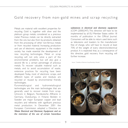## Gold recovery from non-gold mines and scrap recycling

Metals are material with excellent properties for recycling. Gold is, together with silver and the platinum group metals, considered as a precious metal. Precious metals can be directly extracted from the ore, but also from by-products obtained from the processing of other non-ferrous metals or from recycled material. Increasing production and use of electronic equipment in the modern society has made essential the development of new recycling technologies. Metal or scrap recycling will not only solve a part of the environmental problems, but will also give a second life to a certain percentage of precious metals. To recover valuable material such as metals, and to avoid accumulation of waste, extensive practices for recycling have been developed. Today, most of electronic scraps, and different types of wastes and residues are recycled or reused by environmental friendly technologies.

Pyrometallurgical and hydrometallurgical technologies are the main technologies that are generally used to recover metals from scrap. Umicore in Belgium, Nordeutsche Affinerie in Germany, Outokumpu in Finland, Boliden in Sweden are major European copper and lead recyclers and refineries with significant precious metal production. In December 2001 the European Commission adopted a Directive on *Waste Electrical and Electronic Equipment and on the restriction of the use of certain hazardous*  *substances in electrical and electronic equipment* (COM (2000)347). This directive will have to be implemented by all EU Member States within 18 months of publication in the Official Journal. Consumers will be able to return used items such as televisions and toasters to the manufacturer free of charge, who will have to recycle at least 75% of the weight of every electronic/electrical product. It is expected that, as a consequence of this directive, gold recovery from recycling will further increase.

Source : " Possibility of Electronic Scrap Recycling in Slovakia "

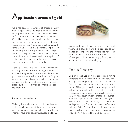## A**pplication areas of gold**

Gold has become a material of choice in many modern applications and plays a crucial role in the development of industrial and economic activity in Europe as well as in other parts of the world. Gold, like many other metals, has become an integral part of our everyday life but is not always recognized as such. Metals and metal compounds remain one of the basic material inputs for industrial production processes and everyday products. Despite newly developed synthetic materials, the application and consumption of metals have increased steadily over the decades and, in many cases, still increase today.

Gold is a vital material which ensures the reliability of many products ranging from dentistry to aircraft engines. From the earliest times when gold was mainly used in jewellery, gold's great virtues and exceptional properties have made possible a wide range of uses in many industrial areas such as electronics, medicine, space exploration, etc.

## Gold in Jewellery

Today, gold's main market is still the jewellery sector, which uses about two thousand tons of gold per annum. Unfortunately mass production methods have progressively surpassed traditional



manual craft skills, leaving a long tradition and venerated profession behind. To produce colour shades and improve the metal's resistance to wear gold alloys are used. From the deep yellow of pure, gold, colour shades ranging from green to purple can be produced by alloying.

### Gold in Dentistry

Gold in dental use is highly appreciated for its properties of non-oxidation, non-corrosion, nontoxicity, non-allergenicity and bio-compatibility. Gold has been used in this type of application for about 2700 years and gold's usage is still widespread in modern dentistry. Gold is used for inlays, crowns and bridges and is usually utilized as an alloy with other precious metals. The quantity used will depend on the application and gold is never harmful for human safety. Japan remains the leading dental gold fabricator, followed by Germany and the United States. However, demand in this area is declining, with gold being substituted by cheaper non-gold alloys and ceramics.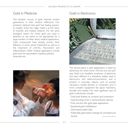### Gold in Medicine

The fantastic virtues of gold inspired ancient generations in their medical reflections. Our ancestors believed that gold had healing powers. In modern times the magic metal is at the heart of scientific and medical research. For the same biological reason for which gold was used in dentistry, its use seems to be appropriate for a large number of other direct medical applications. Gold compounds have already proven their efficiency in some cancer treatments as well as in the treatment of arthritis, rheumatism and inflammations. Other medical applications include gold wires for pacemakers, implants, patches, ampoules, etc.



#### Gold in Electronics



The second place in gold applications is taken by electronics, for which some 150 tons are use each year. Gold is an excellent conductor of electricity and heat reflector. It is therefore widely used in electronics and telecommunications, and is present in everyday objects such as pocket calculators, mobile phones, or computers and in more complex equipment like space machinery, aircrafts and missiles. The most significant uses of gold in electronics include1 :

- Gold base finishes on contacts and connectors
- Gold bonding wires in semiconductor devices
- Thick and thin film gold plate applications
- Sputtered gold metallization
- Gold based solder alloy
- Solderable gold based coatings for printedcircuit boards 1Source : http://www.gold.org

11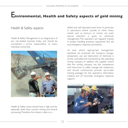# E**nvironmental, Health and Safety aspects of gold mining**

#### Health & Safety aspects

Health & Safety Management is an integral part of any risk-related business today and should be considered a prime responsibility of every individual concerned.



Health & Safety issues should have a high priority, especially when they concern mining and mineral processing. Therefore the industry relies on a

skilled and well educated work force. In particular, in operations where cyanide or other heavy metals such as mercury or arsenic are used, special attention is given to chemicals management. The operators are regularly trained in proper handling practices, equipment, first aid and emergency response procedures.

At sites where appropriate management standards are practiced, the transport, storage, preparation, use and destruction of chemicals is strictly controlled and monitored by the operating mining company. In addition, the supplier checks that the mining company has the competence and know-how to safely manage the substances, and should continuously provide up-to-date training packages for the operators, information material and 24 hours/day emergency response support.

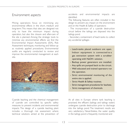#### Environment aspects

Mining operations focus on minimising any environmental effects in the short, medium and long-term. This means that sites are designed not only to have the minimum impact during operation, but also the closure and after-care of the site is planned. Among the strategic tools to minimise any environmental effects we find the Environmental Impact Assessments (EIA), Risk Assessment techniques, monitoring and follow-up as routinely applied procedures. Environmental audits are regularly conducted to review and improve the environmental management at each site.



Cyanide leaching and the chemical management of cyanide are controlled by specific safety measures to prevent incidents and environmental impacts. The design of a cyanide leaching plant includes a thorough risk assessment where technical solutions aimed at the prevention of accidents and environmental impacts are identified.

The following features are often included in the design to prevent any impact on the environment and on the Health & Safety of operators:

- The incorporation of a cyanide destruction circuit before the tailings are disposed into the tailings pond.

- Secondary containment of leach-tanks to collect any accidental spillages .

- Leach-tanks placed outdoors are open. Indoor equipment is connected to a gas extraction system with a scrubber operating with NaOH- solution.
- Backup power generators are installed.
- Any spills are pumped back to the circuit.
- Well educated and trained operators run the operation.
- Strict environmental monitoring of the entire site is applied.
- Strict Health & Safety routines.
- Strict management procedures for leachate.
- Strict management of chemicals.

At all sites in Europe where tank leaching is practised, the effluent (tailings and tailings water) undergoes cyanide destruction prior to discharge into the tailings pond. The treatment results are very satisfactory. Nevertheless, the water quality in the tailings pond is frequently monitored and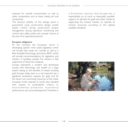analysed for cyanide concentration as well as other components such as heavy metals, pH and conductivity.

The physical stability of the tailings pond is guaranteed using conservative design, careful quality control during construction, proper management during operation, monitoring and control, dam safety audits and a proper closure at the end of its operational period.

#### European obligations

At the moment the European Union is developing specific mine waste legislation, which will include limit values for cyanide, as well as a Best Available Technology document (BAT), which will provide recommendations for legislators and industry in handling cyanide. The industry is fully supportive of these two initiatives.

Europe represents a modern and developed society, with technology and wealth to a large extent relying on the benefits of metals, including gold. Europe today, even as a net importer, has a significant production capacity for gold, and for the future, very promising resources of the metal. European mines operate at world class standard with respect to sustainability criteria, i.e. environmental protection, economical performance and social development. Therefore, it

is Euromines' opinion, that Europe has a responsibility to, as much as reasonably possible, support it's demand for gold and other metals by supporting the mineral industry to operate its mineral resources according to the highest available standards.

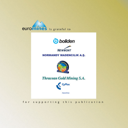





#### **NORMANDY MADENCILIK A.S.**



## **Thracean Gold Mining S.A.**



#### for supporting this publication